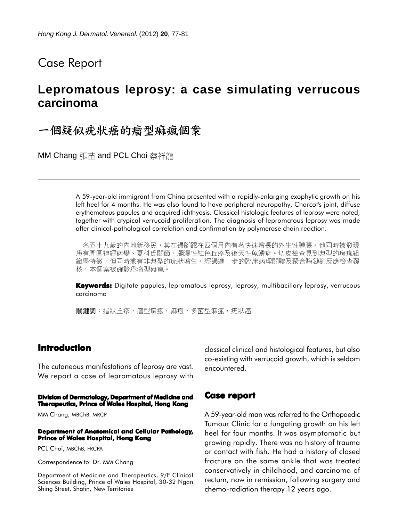# Case Report

# **Lepromatous leprosy: a case simulating verrucous carcinoma**

一個疑似疣狀癌的瘤型痲瘋個案

MM Chang 張苗 and PCL Choi 蔡祥龍

A 59-year-old immigrant from China presented with a rapidly-enlarging exophytic growth on his left heel for 4 months. He was also found to have peripheral neuropathy, Charcot's joint, diffuse erythematous papules and acquired ichthyosis. Classical histologic features of leprosy were noted, together with atypical verrucoid proliferation. The diagnosis of lepromatous leprosy was made after clinical-pathological correlation and confirmation by polymerase chain reaction.

一名五十九歲的內地新移民,其左邊腳跟在四個月內有著快速增長的外生性腫脹。他同時被發現 患有周圍神經病變、夏科氏關節、瀰漫性紅色丘疹及後天性魚鱗病。切皮檢查見到典型的痲瘋組 織學特徵,但同時兼有非典型的疣狀增生。經過進一步的臨床病理關聯及聚合酶鏈鎖反應檢查覆 核,本個案被確診爲瘤型痲瘋。

**Keywords:** Digitate papules, lepromatous leprosy, leprosy, multibacillary leprosy, verrucous carcinoma

關鍵詞:指狀丘疹,瘤型痲瘋,痲瘋,多菌型痲瘋,疣狀癌

## **Introduction**

The cutaneous manifestations of leprosy are vast. We report a case of lepromatous leprosy with

**Division of Dermatology, Department of Medicine and Therapeutics, Prince of Wales Hospital, Hong Kong**

MM Chang, MBChB, MRCP

#### **Department of Anatomical and Cellular Pathology, Prince of Wales Hospital, Hong Kong**

PCL Choi, MBChB, FRCPA

Correspondence to: Dr. MM Chang

Department of Medicine and Therapeutics, 9/F Clinical Sciences Building, Prince of Wales Hospital, 30-32 Ngan Shing Street, Shatin, New Territories

classical clinical and histological features, but also co-existing with verrucoid growth, which is seldom encountered.

### **Case report**

A 59-year-old man was referred to the Orthopaedic Tumour Clinic for a fungating growth on his left heel for four months. It was asymptomatic but growing rapidly. There was no history of trauma or contact with fish. He had a history of closed fracture on the same ankle that was treated conservatively in childhood, and carcinoma of rectum, now in remission, following surgery and chemo-radiation therapy 12 years ago.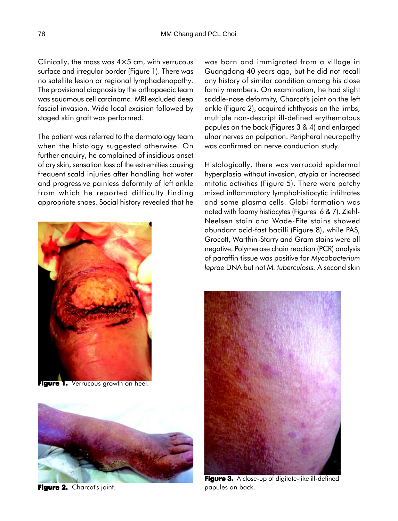Clinically, the mass was  $4\times5$  cm, with verrucous surface and irregular border (Figure 1). There was no satellite lesion or regional lymphadenopathy. The provisional diagnosis by the orthopaedic team was squamous cell carcinoma. MRI excluded deep fascial invasion. Wide local excision followed by staged skin graft was performed.

The patient was referred to the dermatology team when the histology suggested otherwise. On further enquiry, he complained of insidious onset of dry skin, sensation loss of the extremities causing frequent scald injuries after handling hot water and progressive painless deformity of left ankle from which he reported difficulty finding appropriate shoes. Social history revealed that he



**Figure 1.** Verrucous growth on heel.



**Figure 2.** Charcot's joint.

was born and immigrated from a village in Guangdong 40 years ago, but he did not recall any history of similar condition among his close family members. On examination, he had slight saddle-nose deformity, Charcot's joint on the left ankle (Figure 2), acquired ichthyosis on the limbs, multiple non-descript ill-defined erythematous papules on the back (Figures 3 & 4) and enlarged ulnar nerves on palpation. Peripheral neuropathy was confirmed on nerve conduction study.

Histologically, there was verrucoid epidermal hyperplasia without invasion, atypia or increased mitotic activities (Figure 5). There were patchy mixed inflammatory lymphohistiocytic infiltrates and some plasma cells. Globi formation was noted with foamy histiocytes (Figures 6 & 7). Ziehl-Neelsen stain and Wade-Fite stains showed abundant acid-fast bacilli (Figure 8), while PAS, Grocott, Warthin-Starry and Gram stains were all negative. Polymerase chain reaction (PCR) analysis of paraffin tissue was positive for *Mycobacterium leprae* DNA but not *M. tuberculosis.* A second skin



**Figure 3. 3.** A close-up of digitate-like ill-defined papules on back.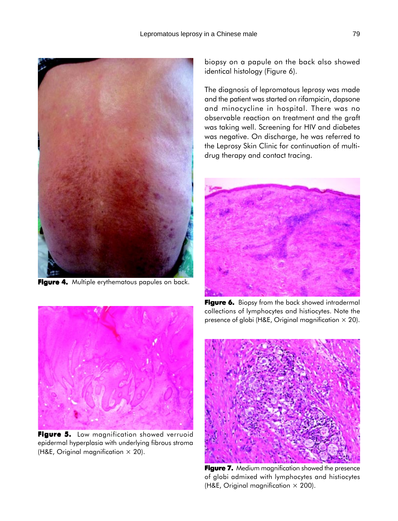

**Figure 4.** Multiple erythematous papules on back.

biopsy on a papule on the back also showed identical histology (Figure 6).

The diagnosis of lepromatous leprosy was made and the patient was started on rifampicin, dapsone and minocycline in hospital. There was no observable reaction on treatment and the graft was taking well. Screening for HIV and diabetes was negative. On discharge, he was referred to the Leprosy Skin Clinic for continuation of multidrug therapy and contact tracing.



**Figure 6. Figure 6.** Biopsy from the back showed intradermal collections of lymphocytes and histiocytes. Note the presence of globi (H&E, Original magnification  $\times$  20).



**Figure 7.** Medium magnification showed the presence of globi admixed with lymphocytes and histiocytes (H&E, Original magnification  $\times$  200).



**Figure 5. Figure 5.** Low magnification showed verruoid epidermal hyperplasia with underlying fibrous stroma (H&E, Original magnification  $\times$  20).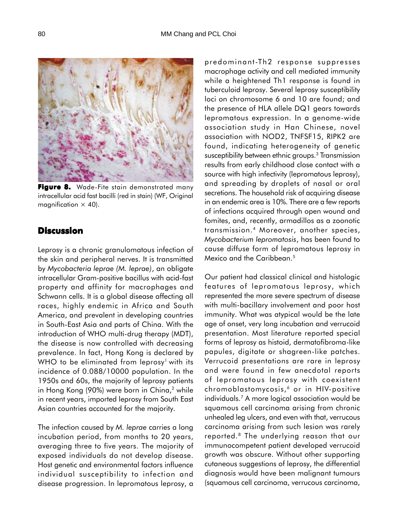

**Figure 8.** Wade-Fite stain demonstrated many intracellular acid fast bacilli (red in stain) (WF, Original magnification  $\times$  40).

## **Discussion**

Leprosy is a chronic granulomatous infection of the skin and peripheral nerves. It is transmitted by *Mycobacteria leprae (M. leprae)*, an obligate intracellular Gram-positive bacillus with acid-fast property and affinity for macrophages and Schwann cells. It is a global disease affecting all races, highly endemic in Africa and South America, and prevalent in developing countries in South-East Asia and parts of China. With the introduction of WHO multi-drug therapy (MDT), the disease is now controlled with decreasing prevalence. In fact, Hong Kong is declared by WHO to be eliminated from leprosy<sup>1</sup> with its incidence of 0.088/10000 population. In the 1950s and 60s, the majority of leprosy patients in Hong Kong (90%) were born in China, $2$  while in recent years, imported leprosy from South East Asian countries accounted for the majority.

The infection caused by *M. leprae* carries a long incubation period, from months to 20 years, averaging three to five years. The majority of exposed individuals do not develop disease. Host genetic and environmental factors influence individual susceptibility to infection and disease progression. In lepromatous leprosy, a predominant-Th2 response suppresses macrophage activity and cell mediated immunity while a heightened Th1 response is found in tuberculoid leprosy. Several leprosy susceptibility loci on chromosome 6 and 10 are found; and the presence of HLA allele DQ1 gears towards lepromatous expression. In a genome-wide association study in Han Chinese, novel association with NOD2, TNFSF15, RIPK2 are found, indicating heterogeneity of genetic susceptibility between ethnic groups.3 Transmission results from early childhood close contact with a source with high infectivity (lepromatous leprosy), and spreading by droplets of nasal or oral secretions. The household risk of acquiring disease in an endemic area is 10%. There are a few reports of infections acquired through open wound and fomites, and, recently, armadillos as a zoonotic transmission.4 Moreover, another species, *Mycobacterium lepromatosis*, has been found to cause diffuse form of lepromatous leprosy in Mexico and the Caribbean.<sup>5</sup>

Our patient had classical clinical and histologic features of lepromatous leprosy, which represented the more severe spectrum of disease with multi-bacillary involvement and poor host immunity. What was atypical would be the late age of onset, very long incubation and verrucoid presentation. Most literature reported special forms of leprosy as histoid, dermatofibroma-like papules, digitate or shagreen-like patches. Verrucoid presentations are rare in leprosy and were found in few anecdotal reports of lepromatous leprosy with coexistent chromoblastomycosis, 6 or in HIV-positive individuals.7 A more logical association would be squamous cell carcinoma arising from chronic unhealed leg ulcers, and even with that, verrucous carcinoma arising from such lesion was rarely reported.8 The underlying reason that our immunocompetent patient developed verrucoid growth was obscure. Without other supporting cutaneous suggestions of leprosy, the differential diagnosis would have been malignant tumours (squamous cell carcinoma, verrucous carcinoma,